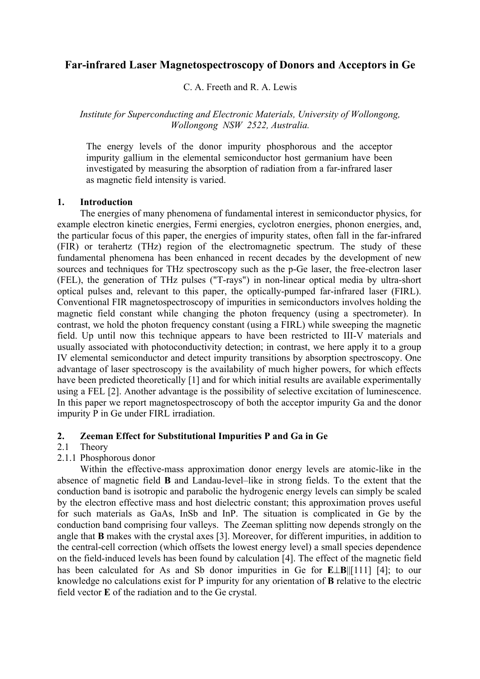# **Far-infrared Laser Magnetospectroscopy of Donors and Acceptors in Ge**

C. A. Freeth and R. A. Lewis

## *Institute for Superconducting and Electronic Materials, University of Wollongong, Wollongong NSW 2522, Australia.*

The energy levels of the donor impurity phosphorous and the acceptor impurity gallium in the elemental semiconductor host germanium have been investigated by measuring the absorption of radiation from a far-infrared laser as magnetic field intensity is varied.

### **1. Introduction**

 The energies of many phenomena of fundamental interest in semiconductor physics, for example electron kinetic energies, Fermi energies, cyclotron energies, phonon energies, and, the particular focus of this paper, the energies of impurity states, often fall in the far-infrared (FIR) or terahertz (THz) region of the electromagnetic spectrum. The study of these fundamental phenomena has been enhanced in recent decades by the development of new sources and techniques for THz spectroscopy such as the p-Ge laser, the free-electron laser (FEL), the generation of THz pulses ("T-rays") in non-linear optical media by ultra-short optical pulses and, relevant to this paper, the optically-pumped far-infrared laser (FIRL). Conventional FIR magnetospectroscopy of impurities in semiconductors involves holding the magnetic field constant while changing the photon frequency (using a spectrometer). In contrast, we hold the photon frequency constant (using a FIRL) while sweeping the magnetic field. Up until now this technique appears to have been restricted to III-V materials and usually associated with photoconductivity detection; in contrast, we here apply it to a group IV elemental semiconductor and detect impurity transitions by absorption spectroscopy. One advantage of laser spectroscopy is the availability of much higher powers, for which effects have been predicted theoretically [1] and for which initial results are available experimentally using a FEL [2]. Another advantage is the possibility of selective excitation of luminescence. In this paper we report magnetospectroscopy of both the acceptor impurity Ga and the donor impurity P in Ge under FIRL irradiation.

### **2. Zeeman Effect for Substitutional Impurities P and Ga in Ge**

# 2.1 Theory

2.1.1 Phosphorous donor

 Within the effective-mass approximation donor energy levels are atomic-like in the absence of magnetic field **B** and Landau-level–like in strong fields. To the extent that the conduction band is isotropic and parabolic the hydrogenic energy levels can simply be scaled by the electron effective mass and host dielectric constant; this approximation proves useful for such materials as GaAs, InSb and InP. The situation is complicated in Ge by the conduction band comprising four valleys. The Zeeman splitting now depends strongly on the angle that **B** makes with the crystal axes [3]. Moreover, for different impurities, in addition to the central-cell correction (which offsets the lowest energy level) a small species dependence on the field-induced levels has been found by calculation [4]. The effect of the magnetic field has been calculated for As and Sb donor impurities in Ge for **E**⊥**B**||[111] [4]; to our knowledge no calculations exist for P impurity for any orientation of **B** relative to the electric field vector **E** of the radiation and to the Ge crystal.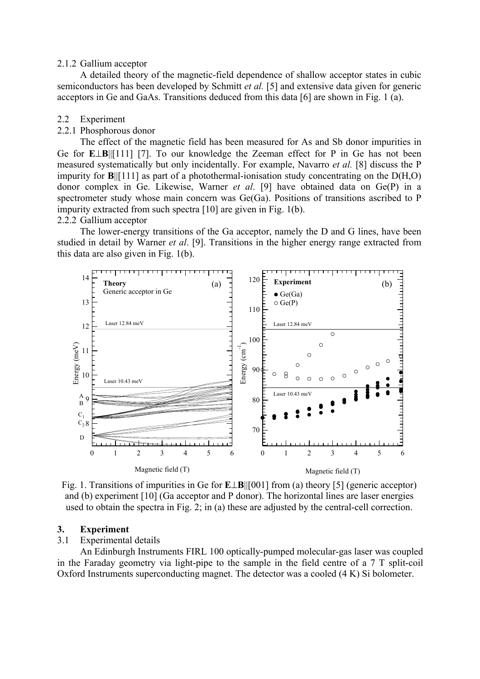#### 2.1.2 Gallium acceptor

A detailed theory of the magnetic-field dependence of shallow acceptor states in cubic semiconductors has been developed by Schmitt *et al.* [5] and extensive data given for generic acceptors in Ge and GaAs. Transitions deduced from this data [6] are shown in Fig. 1 (a).

- 2.2 Experiment
- 2.2.1 Phosphorous donor

The effect of the magnetic field has been measured for As and Sb donor impurities in Ge for **E**⊥**B**||[111] [7]. To our knowledge the Zeeman effect for P in Ge has not been measured systematically but only incidentally. For example, Navarro *et al.* [8] discuss the P impurity for **B**||[111] as part of a photothermal-ionisation study concentrating on the D(H,O) donor complex in Ge. Likewise, Warner *et al*. [9] have obtained data on Ge(P) in a spectrometer study whose main concern was Ge(Ga). Positions of transitions ascribed to P impurity extracted from such spectra [10] are given in Fig. 1(b).

2.2.2 Gallium acceptor

The lower-energy transitions of the Ga acceptor, namely the D and G lines, have been studied in detail by Warner *et al*. [9]. Transitions in the higher energy range extracted from this data are also given in Fig. 1(b).



Fig. 1. Transitions of impurities in Ge for **E**⊥**B**||[001] from (a) theory [5] (generic acceptor) and (b) experiment [10] (Ga acceptor and P donor). The horizontal lines are laser energies used to obtain the spectra in Fig. 2; in (a) these are adjusted by the central-cell correction.

### **3. Experiment**

3.1 Experimental details

An Edinburgh Instruments FIRL 100 optically-pumped molecular-gas laser was coupled in the Faraday geometry via light-pipe to the sample in the field centre of a 7 T split-coil Oxford Instruments superconducting magnet. The detector was a cooled (4 K) Si bolometer.